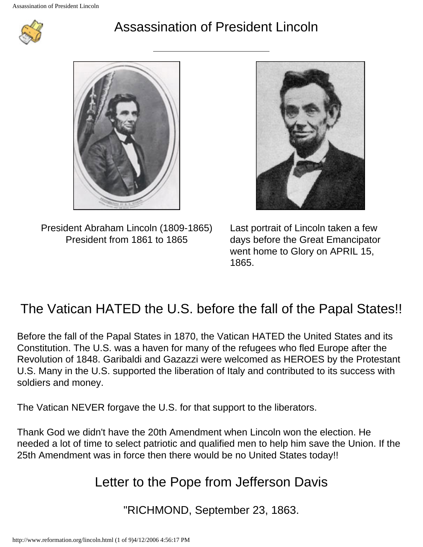

# Assassination of President Lincoln



President Abraham Lincoln (1809-1865) President from 1861 to 1865



Last portrait of Lincoln taken a few days before the Great Emancipator went home to Glory on APRIL 15, 1865.

# The Vatican HATED the U.S. before the fall of the Papal States!!

Before the fall of the Papal States in 1870, the Vatican HATED the United States and its Constitution. The U.S. was a haven for many of the refugees who fled Europe after the Revolution of 1848. Garibaldi and Gazazzi were welcomed as HEROES by the Protestant U.S. Many in the U.S. supported the liberation of Italy and contributed to its success with soldiers and money.

The Vatican NEVER forgave the U.S. for that support to the liberators.

Thank God we didn't have the 20th Amendment when Lincoln won the election. He needed a lot of time to select patriotic and qualified men to help him save the Union. If the 25th Amendment was in force then there would be no United States today!!

## Letter to the Pope from Jefferson Davis

"RICHMOND, September 23, 1863.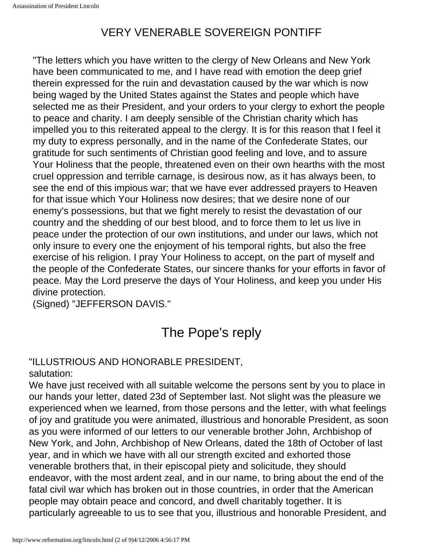#### VERY VENERABLE SOVEREIGN PONTIFF

"The letters which you have written to the clergy of New Orleans and New York have been communicated to me, and I have read with emotion the deep grief therein expressed for the ruin and devastation caused by the war which is now being waged by the United States against the States and people which have selected me as their President, and your orders to your clergy to exhort the people to peace and charity. I am deeply sensible of the Christian charity which has impelled you to this reiterated appeal to the clergy. It is for this reason that I feel it my duty to express personally, and in the name of the Confederate States, our gratitude for such sentiments of Christian good feeling and love, and to assure Your Holiness that the people, threatened even on their own hearths with the most cruel oppression and terrible carnage, is desirous now, as it has always been, to see the end of this impious war; that we have ever addressed prayers to Heaven for that issue which Your Holiness now desires; that we desire none of our enemy's possessions, but that we fight merely to resist the devastation of our country and the shedding of our best blood, and to force them to let us live in peace under the protection of our own institutions, and under our laws, which not only insure to every one the enjoyment of his temporal rights, but also the free exercise of his religion. I pray Your Holiness to accept, on the part of myself and the people of the Confederate States, our sincere thanks for your efforts in favor of peace. May the Lord preserve the days of Your Holiness, and keep you under His divine protection.

(Signed) "JEFFERSON DAVIS."

## The Pope's reply

#### "ILLUSTRIOUS AND HONORABLE PRESIDENT,

salutation:

We have just received with all suitable welcome the persons sent by you to place in our hands your letter, dated 23d of September last. Not slight was the pleasure we experienced when we learned, from those persons and the letter, with what feelings of joy and gratitude you were animated, illustrious and honorable President, as soon as you were informed of our letters to our venerable brother John, Archbishop of New York, and John, Archbishop of New Orleans, dated the 18th of October of last year, and in which we have with all our strength excited and exhorted those venerable brothers that, in their episcopal piety and solicitude, they should endeavor, with the most ardent zeal, and in our name, to bring about the end of the fatal civil war which has broken out in those countries, in order that the American people may obtain peace and concord, and dwell charitably together. It is particularly agreeable to us to see that you, illustrious and honorable President, and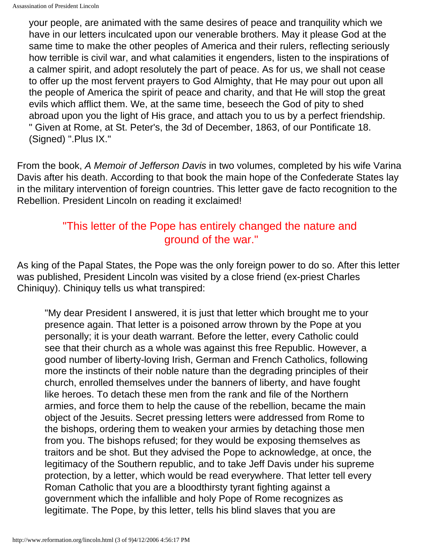your people, are animated with the same desires of peace and tranquility which we have in our letters inculcated upon our venerable brothers. May it please God at the same time to make the other peoples of America and their rulers, reflecting seriously how terrible is civil war, and what calamities it engenders, listen to the inspirations of a calmer spirit, and adopt resolutely the part of peace. As for us, we shall not cease to offer up the most fervent prayers to God Almighty, that He may pour out upon all the people of America the spirit of peace and charity, and that He will stop the great evils which afflict them. We, at the same time, beseech the God of pity to shed abroad upon you the light of His grace, and attach you to us by a perfect friendship. " Given at Rome, at St. Peter's, the 3d of December, 1863, of our Pontificate 18. (Signed) ".Plus IX."

From the book, *A Memoir of Jefferson Davis* in two volumes, completed by his wife Varina Davis after his death. According to that book the main hope of the Confederate States lay in the military intervention of foreign countries. This letter gave de facto recognition to the Rebellion. President Lincoln on reading it exclaimed!

#### "This letter of the Pope has entirely changed the nature and ground of the war."

As king of the Papal States, the Pope was the only foreign power to do so. After this letter was published, President Lincoln was visited by a close friend (ex-priest Charles Chiniquy). Chiniquy tells us what transpired:

"My dear President I answered, it is just that letter which brought me to your presence again. That letter is a poisoned arrow thrown by the Pope at you personally; it is your death warrant. Before the letter, every Catholic could see that their church as a whole was against this free Republic. However, a good number of liberty-loving Irish, German and French Catholics, following more the instincts of their noble nature than the degrading principles of their church, enrolled themselves under the banners of liberty, and have fought like heroes. To detach these men from the rank and file of the Northern armies, and force them to help the cause of the rebellion, became the main object of the Jesuits. Secret pressing letters were addressed from Rome to the bishops, ordering them to weaken your armies by detaching those men from you. The bishops refused; for they would be exposing themselves as traitors and be shot. But they advised the Pope to acknowledge, at once, the legitimacy of the Southern republic, and to take Jeff Davis under his supreme protection, by a letter, which would be read everywhere. That letter tell every Roman Catholic that you are a bloodthirsty tyrant fighting against a government which the infallible and holy Pope of Rome recognizes as legitimate. The Pope, by this letter, tells his blind slaves that you are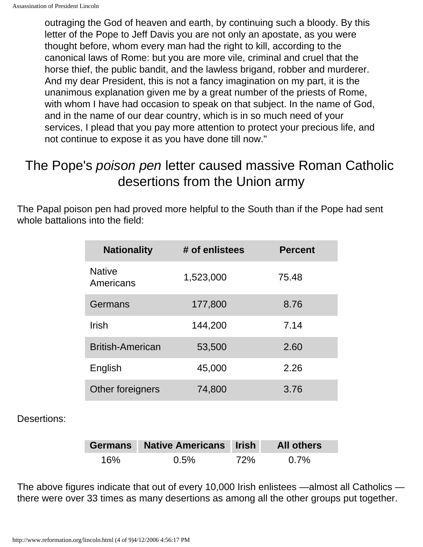outraging the God of heaven and earth, by continuing such a bloody. By this letter of the Pope to Jeff Davis you are not only an apostate, as you were thought before, whom every man had the right to kill, according to the canonical laws of Rome: but you are more vile, criminal and cruel that the horse thief, the public bandit, and the lawless brigand, robber and murderer. And my dear President, this is not a fancy imagination on my part, it is the unanimous explanation given me by a great number of the priests of Rome, with whom I have had occasion to speak on that subject. In the name of God, and in the name of our dear country, which is in so much need of your services, I plead that you pay more attention to protect your precious life, and not continue to expose it as you have done till now."

## The Pope's *poison pen* letter caused massive Roman Catholic desertions from the Union army

The Papal poison pen had proved more helpful to the South than if the Pope had sent whole battalions into the field:

| <b>Nationality</b>         | # of enlistees | <b>Percent</b> |
|----------------------------|----------------|----------------|
| <b>Native</b><br>Americans | 1,523,000      | 75.48          |
| Germans                    | 177,800        | 8.76           |
| <b>Irish</b>               | 144,200        | 7.14           |
| <b>British-American</b>    | 53,500         | 2.60           |
| English                    | 45,000         | 2.26           |
| Other foreigners           | 74,800         | 3.76           |

Desertions:

|     | <b>Germans</b> Native Americans Irish |            | <b>All others</b> |
|-----|---------------------------------------|------------|-------------------|
| 16% | 0.5%                                  | <b>72%</b> | $0.7\%$           |

The above figures indicate that out of every 10,000 Irish enlistees —almost all Catholics there were over 33 times as many desertions as among all the other groups put together.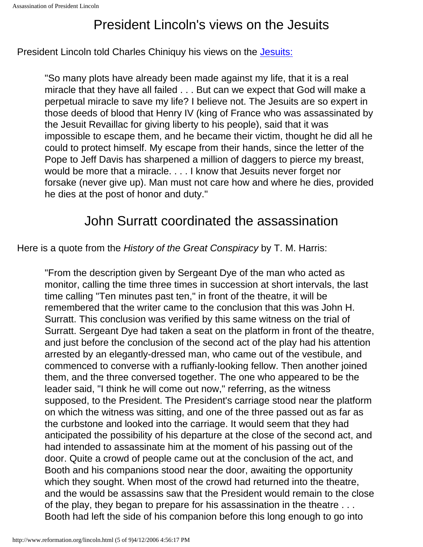## President Lincoln's views on the Jesuits

President Lincoln told Charles Chiniquy his views on the [Jesuits:](http://www.reformation.org/jesuits.html)

"So many plots have already been made against my life, that it is a real miracle that they have all failed . . . But can we expect that God will make a perpetual miracle to save my life? I believe not. The Jesuits are so expert in those deeds of blood that Henry IV (king of France who was assassinated by the Jesuit Revaillac for giving liberty to his people), said that it was impossible to escape them, and he became their victim, thought he did all he could to protect himself. My escape from their hands, since the letter of the Pope to Jeff Davis has sharpened a million of daggers to pierce my breast, would be more that a miracle. . . . I know that Jesuits never forget nor forsake (never give up). Man must not care how and where he dies, provided he dies at the post of honor and duty."

### John Surratt coordinated the assassination

Here is a quote from the *History of the Great Conspiracy* by T. M. Harris:

"From the description given by Sergeant Dye of the man who acted as monitor, calling the time three times in succession at short intervals, the last time calling "Ten minutes past ten," in front of the theatre, it will be remembered that the writer came to the conclusion that this was John H. Surratt. This conclusion was verified by this same witness on the trial of Surratt. Sergeant Dye had taken a seat on the platform in front of the theatre, and just before the conclusion of the second act of the play had his attention arrested by an elegantly-dressed man, who came out of the vestibule, and commenced to converse with a ruffianly-looking fellow. Then another joined them, and the three conversed together. The one who appeared to be the leader said, "I think he will come out now," referring, as the witness supposed, to the President. The President's carriage stood near the platform on which the witness was sitting, and one of the three passed out as far as the curbstone and looked into the carriage. It would seem that they had anticipated the possibility of his departure at the close of the second act, and had intended to assassinate him at the moment of his passing out of the door. Quite a crowd of people came out at the conclusion of the act, and Booth and his companions stood near the door, awaiting the opportunity which they sought. When most of the crowd had returned into the theatre, and the would be assassins saw that the President would remain to the close of the play, they began to prepare for his assassination in the theatre . . . Booth had left the side of his companion before this long enough to go into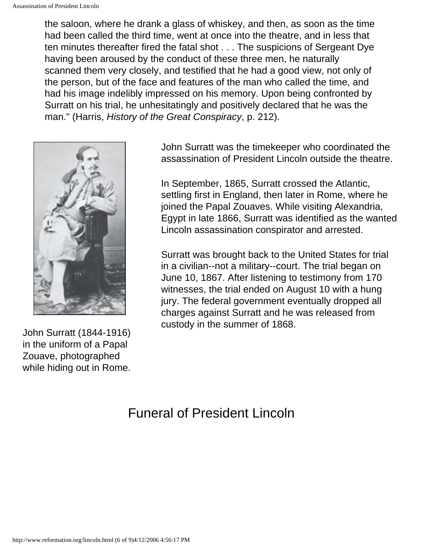the saloon, where he drank a glass of whiskey, and then, as soon as the time had been called the third time, went at once into the theatre, and in less that ten minutes thereafter fired the fatal shot . . . The suspicions of Sergeant Dye having been aroused by the conduct of these three men, he naturally scanned them very closely, and testified that he had a good view, not only of the person, but of the face and features of the man who called the time, and had his image indelibly impressed on his memory. Upon being confronted by Surratt on his trial, he unhesitatingly and positively declared that he was the man." (Harris, *History of the Great Conspiracy*, p. 212).



John Surratt (1844-1916) in the uniform of a Papal Zouave, photographed while hiding out in Rome.

John Surratt was the timekeeper who coordinated the assassination of President Lincoln outside the theatre.

In September, 1865, Surratt crossed the Atlantic, settling first in England, then later in Rome, where he joined the Papal Zouaves. While visiting Alexandria, Egypt in late 1866, Surratt was identified as the wanted Lincoln assassination conspirator and arrested.

Surratt was brought back to the United States for trial in a civilian--not a military--court. The trial began on June 10, 1867. After listening to testimony from 170 witnesses, the trial ended on August 10 with a hung jury. The federal government eventually dropped all charges against Surratt and he was released from custody in the summer of 1868.

### Funeral of President Lincoln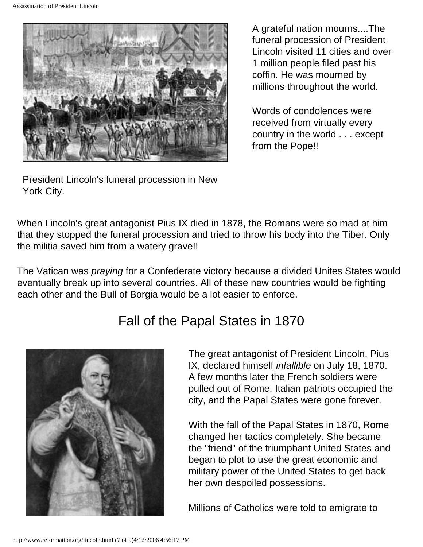

A grateful nation mourns....The funeral procession of President Lincoln visited 11 cities and over 1 million people filed past his coffin. He was mourned by millions throughout the world.

Words of condolences were received from virtually every country in the world . . . except from the Pope!!

President Lincoln's funeral procession in New York City.

When Lincoln's great antagonist Pius IX died in 1878, the Romans were so mad at him that they stopped the funeral procession and tried to throw his body into the Tiber. Only the militia saved him from a watery grave!!

The Vatican was *praying* for a Confederate victory because a divided Unites States would eventually break up into several countries. All of these new countries would be fighting each other and the Bull of Borgia would be a lot easier to enforce.

# Fall of the Papal States in 1870



The great antagonist of President Lincoln, Pius IX, declared himself *infallible* on July 18, 1870. A few months later the French soldiers were pulled out of Rome, Italian patriots occupied the city, and the Papal States were gone forever.

With the fall of the Papal States in 1870, Rome changed her tactics completely. She became the "friend" of the triumphant United States and began to plot to use the great economic and military power of the United States to get back her own despoiled possessions.

Millions of Catholics were told to emigrate to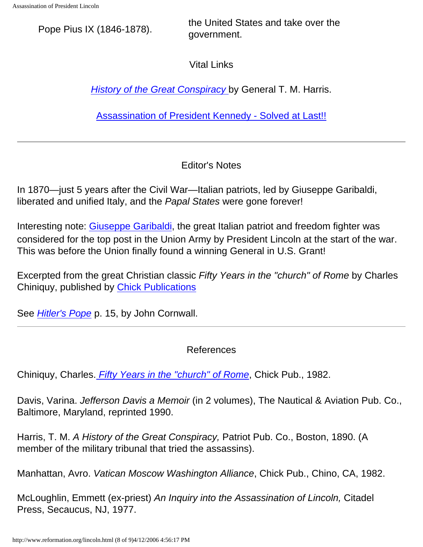Pope Pius IX (1846-1878). the United States and take over the government.

Vital Links

*[History of the Great Conspiracy](http://www.reformation.org/surratt.html)* by General T. M. Harris.

[Assassination of President Kennedy - Solved at Last!!](http://www.reformation.org/kennedy.html)

#### Editor's Notes

In 1870—just 5 years after the Civil War—Italian patriots, led by Giuseppe Garibaldi, liberated and unified Italy, and the *Papal States* were gone forever!

Interesting note: [Giuseppe Garibaldi,](http://www.reformation.org/garibaldi.html) the great Italian patriot and freedom fighter was considered for the top post in the Union Army by President Lincoln at the start of the war. This was before the Union finally found a winning General in U.S. Grant!

Excerpted from the great Christian classic *Fifty Years in the "church" of Rome* by Charles Chiniquy, published by [Chick Publications](http://www.chick.com/)

See *[Hitler's Pope](http://www.reformation.org/hitler_pope.html)* p. 15, by John Cornwall.

#### References

Chiniquy, Charles. *[Fifty Years in the "church" of Rome](http://www.chick.com/catalog/comics/0251.asp)*, Chick Pub., 1982.

Davis, Varina. *Jefferson Davis a Memoir* (in 2 volumes), The Nautical & Aviation Pub. Co., Baltimore, Maryland, reprinted 1990.

Harris, T. M. *A History of the Great Conspiracy,* Patriot Pub. Co., Boston, 1890. (A member of the military tribunal that tried the assassins).

Manhattan, Avro. *Vatican Moscow Washington Alliance*, Chick Pub., Chino, CA, 1982.

McLoughlin, Emmett (ex-priest) *An Inquiry into the Assassination of Lincoln,* Citadel Press, Secaucus, NJ, 1977.